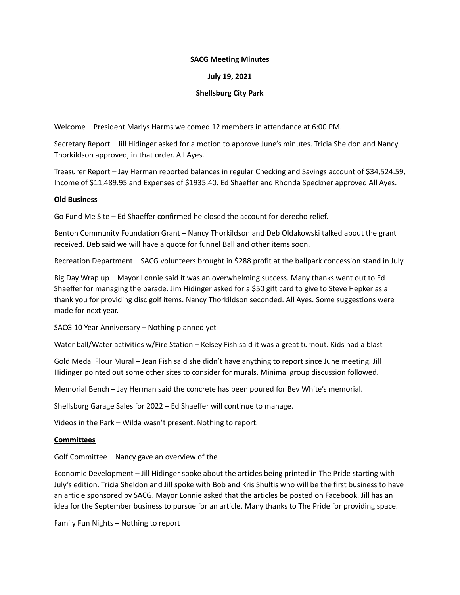### **SACG Meeting Minutes**

# **July 19, 2021**

# **Shellsburg City Park**

Welcome – President Marlys Harms welcomed 12 members in attendance at 6:00 PM.

Secretary Report – Jill Hidinger asked for a motion to approve June's minutes. Tricia Sheldon and Nancy Thorkildson approved, in that order. All Ayes.

Treasurer Report – Jay Herman reported balances in regular Checking and Savings account of \$34,524.59, Income of \$11,489.95 and Expenses of \$1935.40. Ed Shaeffer and Rhonda Speckner approved All Ayes.

#### **Old Business**

Go Fund Me Site – Ed Shaeffer confirmed he closed the account for derecho relief.

Benton Community Foundation Grant – Nancy Thorkildson and Deb Oldakowski talked about the grant received. Deb said we will have a quote for funnel Ball and other items soon.

Recreation Department – SACG volunteers brought in \$288 profit at the ballpark concession stand in July.

Big Day Wrap up – Mayor Lonnie said it was an overwhelming success. Many thanks went out to Ed Shaeffer for managing the parade. Jim Hidinger asked for a \$50 gift card to give to Steve Hepker as a thank you for providing disc golf items. Nancy Thorkildson seconded. All Ayes. Some suggestions were made for next year.

SACG 10 Year Anniversary – Nothing planned yet

Water ball/Water activities w/Fire Station – Kelsey Fish said it was a great turnout. Kids had a blast

Gold Medal Flour Mural – Jean Fish said she didn't have anything to report since June meeting. Jill Hidinger pointed out some other sites to consider for murals. Minimal group discussion followed.

Memorial Bench – Jay Herman said the concrete has been poured for Bev White's memorial.

Shellsburg Garage Sales for 2022 – Ed Shaeffer will continue to manage.

Videos in the Park – Wilda wasn't present. Nothing to report.

#### **Committees**

Golf Committee – Nancy gave an overview of the

Economic Development – Jill Hidinger spoke about the articles being printed in The Pride starting with July's edition. Tricia Sheldon and Jill spoke with Bob and Kris Shultis who will be the first business to have an article sponsored by SACG. Mayor Lonnie asked that the articles be posted on Facebook. Jill has an idea for the September business to pursue for an article. Many thanks to The Pride for providing space.

Family Fun Nights – Nothing to report